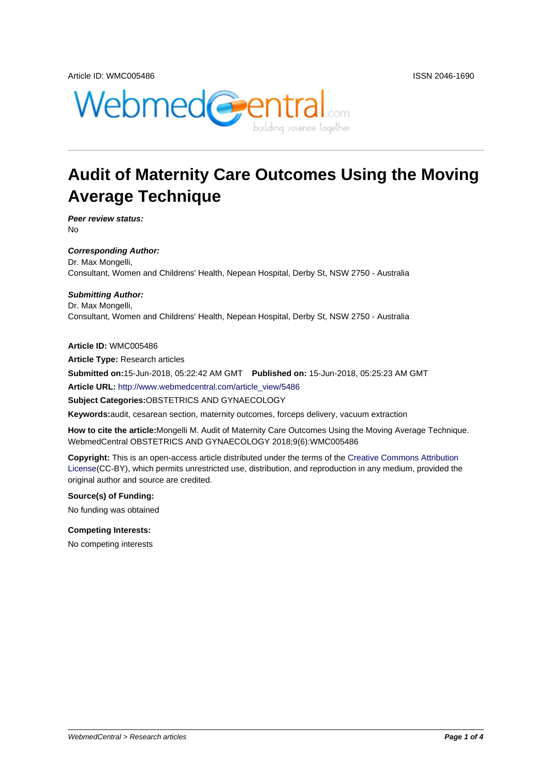

# **Audit of Maternity Care Outcomes Using the Moving Average Technique**

**Peer review status:** No

**Corresponding Author:** Dr. Max Mongelli, Consultant, Women and Childrens' Health, Nepean Hospital, Derby St, NSW 2750 - Australia

#### **Submitting Author:**

Dr. Max Mongelli, Consultant, Women and Childrens' Health, Nepean Hospital, Derby St, NSW 2750 - Australia

#### **Article ID:** WMC005486

**Article Type:** Research articles

**Submitted on:**15-Jun-2018, 05:22:42 AM GMT **Published on:** 15-Jun-2018, 05:25:23 AM GMT

**Article URL:** http://www.webmedcentral.com/article\_view/5486

**Subject Categories:**OBSTETRICS AND GYNAECOLOGY

**Keywords:**audit, cesarean section, maternity outcomes, forceps delivery, vacuum extraction

**How to cite the article:**[Mongelli M. Audit of Maternity Care Out](http://www.webmedcentral.com/article_view/5486)comes Using the Moving Average Technique. WebmedCentral OBSTETRICS AND GYNAECOLOGY 2018;9(6):WMC005486

**Copyright:** This is an open-access article distributed under the terms of the Creative Commons Attribution License(CC-BY), which permits unrestricted use, distribution, and reproduction in any medium, provided the original author and source are credited.

#### **Source(s) of Funding:**

[No fund](http://creativecommons.org/licenses/by/3.0/)ing was obtained

#### **Competing Interests:**

No competing interests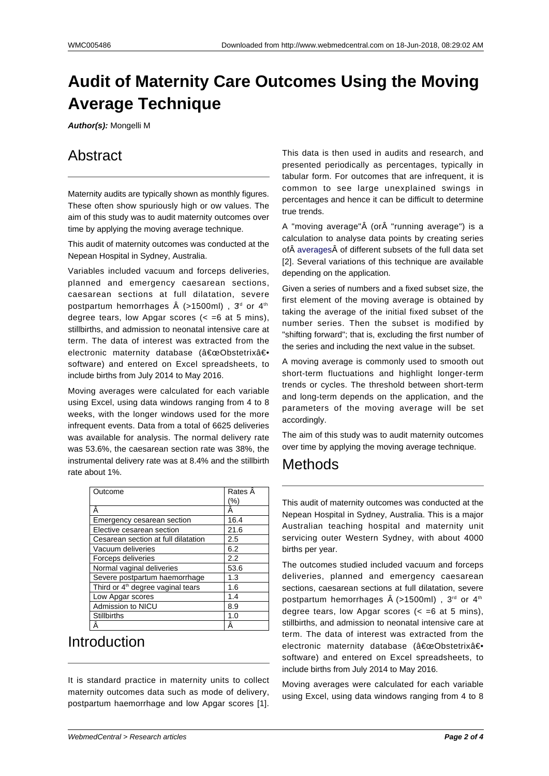# **Audit of Maternity Care Outcomes Using the Moving Average Technique**

**Author(s):** Mongelli M

## **Abstract**

Maternity audits are typically shown as monthly figures. These often show spuriously high or ow values. The aim of this study was to audit maternity outcomes over time by applying the moving average technique.

This audit of maternity outcomes was conducted at the Nepean Hospital in Sydney, Australia.

Variables included vacuum and forceps deliveries, planned and emergency caesarean sections, caesarean sections at full dilatation, severe postpartum hemorrhages  $\hat{A}$  (>1500ml),  $3<sup>d</sup>$  or 4<sup>th</sup> degree tears, low Apgar scores  $( $=6$  at 5 mins),$ stillbirths, and admission to neonatal intensive care at term. The data of interest was extracted from the electronic maternity database ("Obstetrix― software) and entered on Excel spreadsheets, to include births from July 2014 to May 2016.

Moving averages were calculated for each variable using Excel, using data windows ranging from 4 to 8 weeks, with the longer windows used for the more infrequent events. Data from a total of 6625 deliveries was available for analysis. The normal delivery rate was 53.6%, the caesarean section rate was 38%, the instrumental delivery rate was at 8.4% and the stillbirth rate about 1%.

| Outcome                                       | Rates Â |
|-----------------------------------------------|---------|
|                                               | (%)     |
| Â                                             | Ä       |
| Emergency cesarean section                    | 16.4    |
| Elective cesarean section                     | 21.6    |
| Cesarean section at full dilatation           | 2.5     |
| Vacuum deliveries                             | 6.2     |
| Forceps deliveries                            | 2.2     |
| Normal vaginal deliveries                     | 53.6    |
| Severe postpartum haemorrhage                 | 1.3     |
| Third or 4 <sup>th</sup> degree vaginal tears | 1.6     |
| Low Apgar scores                              | 1.4     |
| Admission to NICU                             | 8.9     |
| <b>Stillbirths</b>                            | 1.0     |
|                                               |         |

### Introduction

It is standard practice in maternity units to collect maternity outcomes data such as mode of delivery, postpartum haemorrhage and low Apgar scores [1].

This data is then used in audits and research, and presented periodically as percentages, typically in tabular form. For outcomes that are infrequent, it is common to see large unexplained swings in percentages and hence it can be difficult to determine true trends.

A "moving average" (or "running average") is a calculation to analyse data points by creating series of averages of different subsets of the full data set [2]. Several variations of this technique are available depending on the application.

Given a series of numbers and a fixed subset size, the first [element](https://en.wikipedia.org/wiki/Average) of the moving average is obtained by taking the average of the initial fixed subset of the number series. Then the subset is modified by "shifting forward"; that is, excluding the first number of the series and including the next value in the subset.

A moving average is commonly used to smooth out short-term fluctuations and highlight longer-term trends or cycles. The threshold between short-term and long-term depends on the application, and the parameters of the moving average will be set accordingly.

The aim of this study was to audit maternity outcomes over time by applying the moving average technique.

### Methods

This audit of maternity outcomes was conducted at the Nepean Hospital in Sydney, Australia. This is a major Australian teaching hospital and maternity unit servicing outer Western Sydney, with about 4000 births per year.

The outcomes studied included vacuum and forceps deliveries, planned and emergency caesarean sections, caesarean sections at full dilatation, severe postpartum hemorrhages  $\hat{A}$  (>1500ml), 3<sup>rd</sup> or 4<sup>th</sup> degree tears, low Apgar scores  $( $=6$  at 5 mins),$ stillbirths, and admission to neonatal intensive care at term. The data of interest was extracted from the electronic maternity database ("Obstetrix― software) and entered on Excel spreadsheets, to include births from July 2014 to May 2016.

Moving averages were calculated for each variable using Excel, using data windows ranging from 4 to 8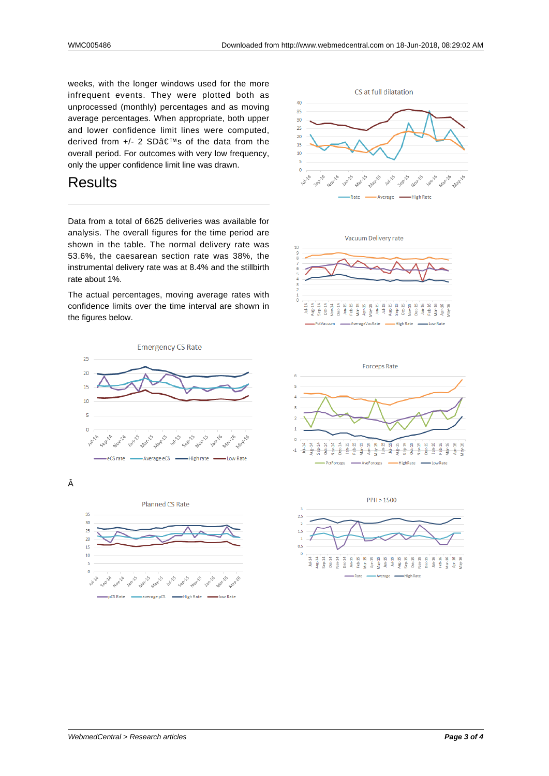weeks, with the longer windows used for the more infrequent events. They were plotted both as unprocessed (monthly) percentages and as moving average percentages. When appropriate, both upper and lower confidence limit lines were computed, derived from +/- 2 SD's of the data from the overall period. For outcomes with very low frequency, only the upper confidence limit line was drawn.

#### **Results**

Data from a total of 6625 deliveries was available for analysis. The overall figures for the time period are shown in the table. The normal delivery rate was 53.6%, the caesarean section rate was 38%, the instrumental delivery rate was at 8.4% and the stillbirth rate about 1%.

The actual percentages, moving average rates with confidence limits over the time interval are shown in the figures below.



Â